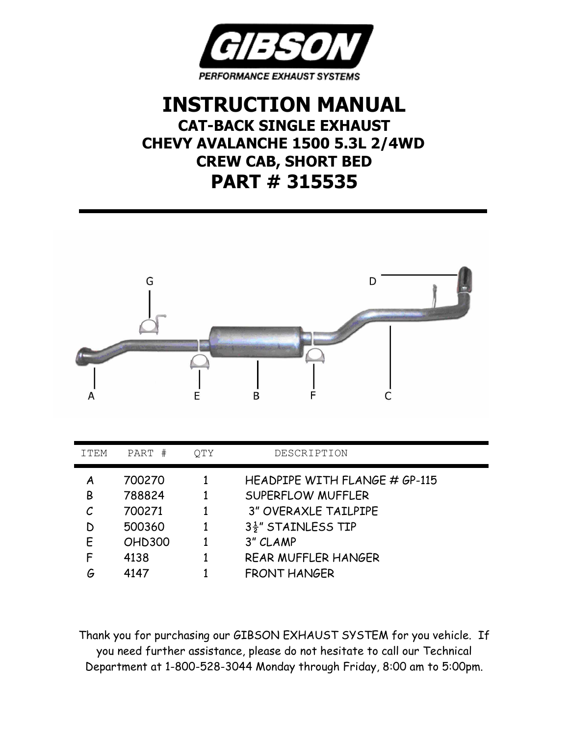

## **INSTRUCTION MANUAL CAT-BACK SINGLE EXHAUST CHEVY AVALANCHE 1500 5.3L 2/4WD CREW CAB, SHORT BED PART # 315535**



| ITEM | PART<br>#     | QTY | DESCRIPTION                   |
|------|---------------|-----|-------------------------------|
| Α    | 700270        |     | HEADPIPE WITH FLANGE # GP-115 |
| B    | 788824        |     | SUPERFLOW MUFFLER             |
|      | 700271        |     | <b>3" OVERAXLE TAILPIPE</b>   |
| D    | 500360        |     | 3 <sup>1</sup> STAINLESS TIP  |
| F    | <b>OHD300</b> |     | 3" CLAMP                      |
| F    | 4138          |     | REAR MUFFLER HANGER           |
| G    | 4147          |     | <b>FRONT HANGER</b>           |

Thank you for purchasing our GIBSON EXHAUST SYSTEM for you vehicle. If you need further assistance, please do not hesitate to call our Technical Department at 1-800-528-3044 Monday through Friday, 8:00 am to 5:00pm.